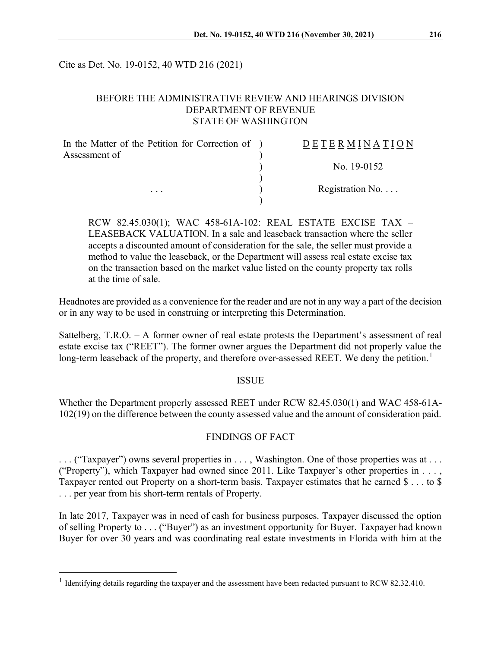Cite as Det. No. 19-0152, 40 WTD 216 (2021)

## BEFORE THE ADMINISTRATIVE REVIEW AND HEARINGS DIVISION DEPARTMENT OF REVENUE STATE OF WASHINGTON

| In the Matter of the Petition for Correction of ) | <b>DETERMINATION</b>     |
|---------------------------------------------------|--------------------------|
| Assessment of                                     |                          |
|                                                   | No. 19-0152              |
|                                                   |                          |
| $\cdot$ $\cdot$ $\cdot$                           | Registration No. $\dots$ |
|                                                   |                          |

RCW 82.45.030(1); WAC 458-61A-102: REAL ESTATE EXCISE TAX – LEASEBACK VALUATION. In a sale and leaseback transaction where the seller accepts a discounted amount of consideration for the sale, the seller must provide a method to value the leaseback, or the Department will assess real estate excise tax on the transaction based on the market value listed on the county property tax rolls at the time of sale.

Headnotes are provided as a convenience for the reader and are not in any way a part of the decision or in any way to be used in construing or interpreting this Determination.

Sattelberg, T.R.O. – A former owner of real estate protests the Department's assessment of real estate excise tax ("REET"). The former owner argues the Department did not properly value the long-term leaseback of the property, and therefore over-assessed REET. We deny the petition.<sup>[1](#page-0-0)</sup>

#### **ISSUE**

Whether the Department properly assessed REET under RCW 82.45.030(1) and WAC 458-61A-102(19) on the difference between the county assessed value and the amount of consideration paid.

### FINDINGS OF FACT

. . . ("Taxpayer") owns several properties in . . . , Washington. One of those properties was at . . . ("Property"), which Taxpayer had owned since 2011. Like Taxpayer's other properties in . . . , Taxpayer rented out Property on a short-term basis. Taxpayer estimates that he earned \$ . . . to \$ . . . per year from his short-term rentals of Property.

In late 2017, Taxpayer was in need of cash for business purposes. Taxpayer discussed the option of selling Property to . . . ("Buyer") as an investment opportunity for Buyer. Taxpayer had known Buyer for over 30 years and was coordinating real estate investments in Florida with him at the

<span id="page-0-0"></span><sup>&</sup>lt;sup>1</sup> Identifying details regarding the taxpayer and the assessment have been redacted pursuant to RCW 82.32.410.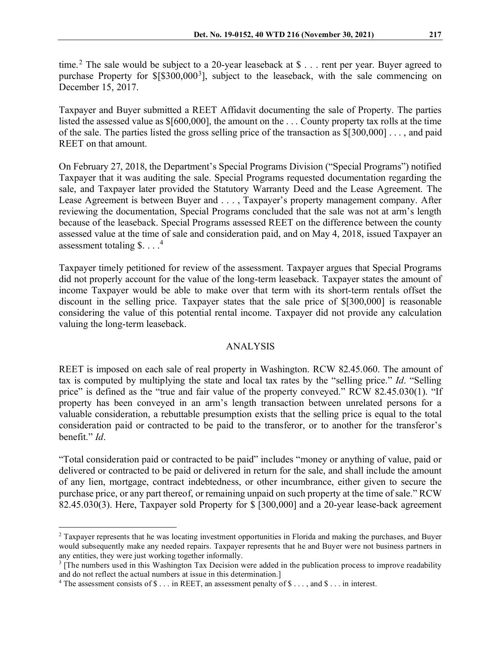time.<sup>[2](#page-1-0)</sup> The sale would be subject to a 20-year leaseback at \$ $\dots$  rent per year. Buyer agreed to purchase Property for \$[\$[3](#page-1-1)00,000<sup>3</sup>], subject to the leaseback, with the sale commencing on December 15, 2017.

Taxpayer and Buyer submitted a REET Affidavit documenting the sale of Property. The parties listed the assessed value as \$[600,000], the amount on the . . . County property tax rolls at the time of the sale. The parties listed the gross selling price of the transaction as \$[300,000] . . . , and paid REET on that amount.

On February 27, 2018, the Department's Special Programs Division ("Special Programs") notified Taxpayer that it was auditing the sale. Special Programs requested documentation regarding the sale, and Taxpayer later provided the Statutory Warranty Deed and the Lease Agreement. The Lease Agreement is between Buyer and . . . , Taxpayer's property management company. After reviewing the documentation, Special Programs concluded that the sale was not at arm's length because of the leaseback. Special Programs assessed REET on the difference between the county assessed value at the time of sale and consideration paid, and on May 4, 2018, issued Taxpayer an assessment totaling \$. . . . [4](#page-1-2)

Taxpayer timely petitioned for review of the assessment. Taxpayer argues that Special Programs did not properly account for the value of the long-term leaseback. Taxpayer states the amount of income Taxpayer would be able to make over that term with its short-term rentals offset the discount in the selling price. Taxpayer states that the sale price of \$[300,000] is reasonable considering the value of this potential rental income. Taxpayer did not provide any calculation valuing the long-term leaseback.

### ANALYSIS

REET is imposed on each sale of real property in Washington. RCW 82.45.060. The amount of tax is computed by multiplying the state and local tax rates by the "selling price." *Id*. "Selling price" is defined as the "true and fair value of the property conveyed." RCW 82.45.030(1). "If property has been conveyed in an arm's length transaction between unrelated persons for a valuable consideration, a rebuttable presumption exists that the selling price is equal to the total consideration paid or contracted to be paid to the transferor, or to another for the transferor's benefit." *Id*.

"Total consideration paid or contracted to be paid" includes "money or anything of value, paid or delivered or contracted to be paid or delivered in return for the sale, and shall include the amount of any lien, mortgage, contract indebtedness, or other incumbrance, either given to secure the purchase price, or any part thereof, or remaining unpaid on such property at the time of sale." RCW 82.45.030(3). Here, Taxpayer sold Property for \$ [300,000] and a 20-year lease-back agreement

<span id="page-1-0"></span> $2$  Taxpayer represents that he was locating investment opportunities in Florida and making the purchases, and Buyer would subsequently make any needed repairs. Taxpayer represents that he and Buyer were not business partners in any entities, they were just working together informally.

<span id="page-1-1"></span><sup>&</sup>lt;sup>3</sup> [The numbers used in this Washington Tax Decision were added in the publication process to improve readability and do not reflect the actual numbers at issue in this determination.]

<span id="page-1-2"></span><sup>&</sup>lt;sup>4</sup> The assessment consists of  $\$\dots$  in REET, an assessment penalty of  $\$\dots$ , and  $\$\dots$  in interest.